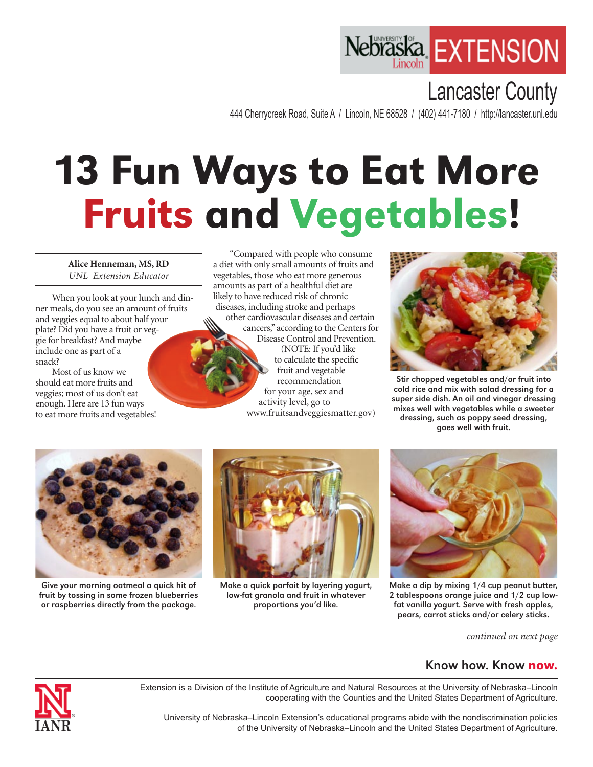## Nebraska **EXTENSION**

## Lancaster County

444 Cherrycreek Road, Suite A / Lincoln, NE 68528 / (402) 441-7180 / http://lancaster.unl.edu

## 13 Fun Ways to Eat More Fruits and Vegetables!

**Alice Henneman, MS, RD** *UNL Extension Educator*

When you look at your lunch and dinner meals, do you see an amount of fruits and veggies equal to about half your plate? Did you have a fruit or veggie for breakfast? And maybe include one as part of a snack?

Most of us know we should eat more fruits and veggies; most of us don't eat enough. Here are 13 fun ways to eat more fruits and vegetables!

"Compared with people who consume a diet with only small amounts of fruits and vegetables, those who eat more generous amounts as part of a healthful diet are likely to have reduced risk of chronic diseases, including stroke and perhaps other cardiovascular diseases and certain

cancers," according to the Centers for Disease Control and Prevention. (NOTE: If you'd like to calculate the specific fruit and vegetable recommendation for your age, sex and activity level, go to





Stir chopped vegetables and/or fruit into cold rice and mix with salad dressing for a super side dish. An oil and vinegar dressing mixes well with vegetables while a sweeter dressing, such as poppy seed dressing, goes well with fruit.



Give your morning oatmeal a quick hit of fruit by tossing in some frozen blueberries or raspberries directly from the package.



Make a quick parfait by layering yogurt, low-fat granola and fruit in whatever proportions you'd like.



Make a dip by mixing 1/4 cup peanut butter, 2 tablespoons orange juice and 1/2 cup lowfat vanilla yogurt. Serve with fresh apples, pears, carrot sticks and/or celery sticks.

*continued on next page*

## Know how. Know now.



Extension is a Division of the Institute of Agriculture and Natural Resources at the University of Nebraska–Lincoln cooperating with the Counties and the United States Department of Agriculture.

University of Nebraska–Lincoln Extension's educational programs abide with the nondiscrimination policies of the University of Nebraska–Lincoln and the United States Department of Agriculture.